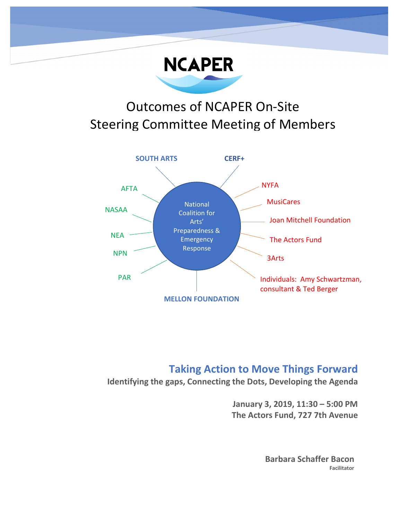

## Outcomes of NCAPER On-Site Steering Committee Meeting of Members



## **Taking Action to Move Things Forward**

**Identifying the gaps, Connecting the Dots, Developing the Agenda**

**January 3, 2019, 11:30 – 5:00 PM The Actors Fund, 727 7th Avenue**

> **Barbara Schaffer Bacon Facilitator**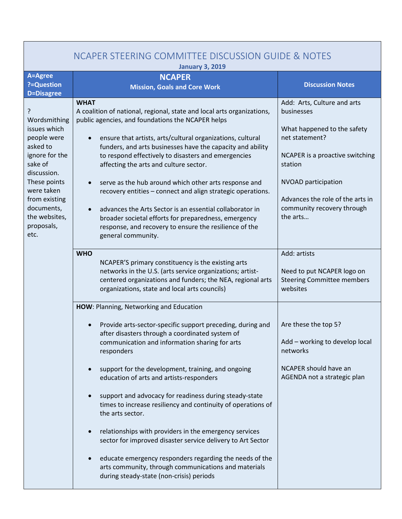| NCAPER STEERING COMMITTEE DISCUSSION GUIDE & NOTES                                                                                                                                                                                                                                                                                                                                                                                                                                                                                                                                                                                                                                                                                                                                                                                                                                                           |                                                                                                                                                                                                                                                      |  |  |  |
|--------------------------------------------------------------------------------------------------------------------------------------------------------------------------------------------------------------------------------------------------------------------------------------------------------------------------------------------------------------------------------------------------------------------------------------------------------------------------------------------------------------------------------------------------------------------------------------------------------------------------------------------------------------------------------------------------------------------------------------------------------------------------------------------------------------------------------------------------------------------------------------------------------------|------------------------------------------------------------------------------------------------------------------------------------------------------------------------------------------------------------------------------------------------------|--|--|--|
| <b>NCAPER</b><br><b>Mission, Goals and Core Work</b>                                                                                                                                                                                                                                                                                                                                                                                                                                                                                                                                                                                                                                                                                                                                                                                                                                                         | <b>Discussion Notes</b>                                                                                                                                                                                                                              |  |  |  |
| <b>WHAT</b><br>A coalition of national, regional, state and local arts organizations,<br>public agencies, and foundations the NCAPER helps<br>ensure that artists, arts/cultural organizations, cultural<br>funders, and arts businesses have the capacity and ability<br>to respond effectively to disasters and emergencies<br>affecting the arts and culture sector.<br>serve as the hub around which other arts response and<br>recovery entities - connect and align strategic operations.<br>advances the Arts Sector is an essential collaborator in<br>broader societal efforts for preparedness, emergency<br>response, and recovery to ensure the resilience of the<br>general community.                                                                                                                                                                                                          | Add: Arts, Culture and arts<br>businesses<br>What happened to the safety<br>net statement?<br>NCAPER is a proactive switching<br>station<br><b>NVOAD participation</b><br>Advances the role of the arts in<br>community recovery through<br>the arts |  |  |  |
| <b>WHO</b><br>NCAPER'S primary constituency is the existing arts<br>networks in the U.S. (arts service organizations; artist-<br>centered organizations and funders; the NEA, regional arts<br>organizations, state and local arts councils)<br>HOW: Planning, Networking and Education<br>Provide arts-sector-specific support preceding, during and<br>after disasters through a coordinated system of<br>communication and information sharing for arts<br>responders<br>support for the development, training, and ongoing<br>education of arts and artists-responders<br>support and advocacy for readiness during steady-state<br>times to increase resiliency and continuity of operations of<br>the arts sector.<br>relationships with providers in the emergency services<br>sector for improved disaster service delivery to Art Sector<br>educate emergency responders regarding the needs of the | Add: artists<br>Need to put NCAPER logo on<br><b>Steering Committee members</b><br>websites<br>Are these the top 5?<br>Add - working to develop local<br>networks<br>NCAPER should have an<br>AGENDA not a strategic plan                            |  |  |  |
|                                                                                                                                                                                                                                                                                                                                                                                                                                                                                                                                                                                                                                                                                                                                                                                                                                                                                                              | <b>January 3, 2019</b><br>arts community, through communications and materials<br>during steady-state (non-crisis) periods                                                                                                                           |  |  |  |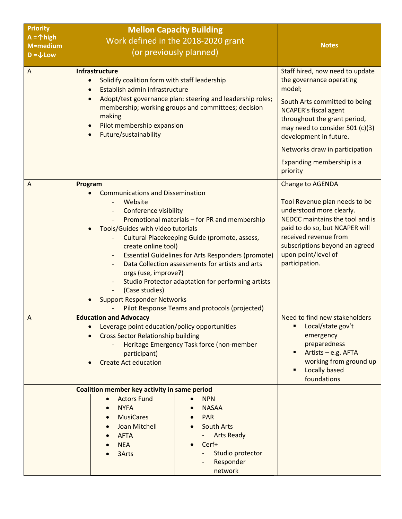| <b>Priority</b><br>$A = \uparrow$ high<br>M=medium<br>$D = \bigcup$ Low | <b>Mellon Capacity Building</b><br>Work defined in the 2018-2020 grant<br>(or previously planned)                                                                                                                                                                                                                                                                                                                                                                                                                                                            | <b>Notes</b>                                                                                                                                                                                                                                                                                                   |
|-------------------------------------------------------------------------|--------------------------------------------------------------------------------------------------------------------------------------------------------------------------------------------------------------------------------------------------------------------------------------------------------------------------------------------------------------------------------------------------------------------------------------------------------------------------------------------------------------------------------------------------------------|----------------------------------------------------------------------------------------------------------------------------------------------------------------------------------------------------------------------------------------------------------------------------------------------------------------|
| A                                                                       | <b>Infrastructure</b><br>Solidify coalition form with staff leadership<br>$\bullet$<br>Establish admin infrastructure<br>Adopt/test governance plan: steering and leadership roles;<br>membership; working groups and committees; decision<br>making<br>Pilot membership expansion<br>Future/sustainability                                                                                                                                                                                                                                                  | Staff hired, now need to update<br>the governance operating<br>model;<br>South Arts committed to being<br><b>NCAPER's fiscal agent</b><br>throughout the grant period,<br>may need to consider 501 (c)(3)<br>development in future.<br>Networks draw in participation<br>Expanding membership is a<br>priority |
| A                                                                       | Program<br><b>Communications and Dissemination</b><br>Website<br>Conference visibility<br>Promotional materials - for PR and membership<br>Tools/Guides with video tutorials<br>Cultural Placekeeping Guide (promote, assess,<br>create online tool)<br><b>Essential Guidelines for Arts Responders (promote)</b><br>Data Collection assessments for artists and arts<br>orgs (use, improve?)<br>Studio Protector adaptation for performing artists<br>(Case studies)<br><b>Support Responder Networks</b><br>Pilot Response Teams and protocols (projected) | Change to AGENDA<br>Tool Revenue plan needs to be<br>understood more clearly.<br>NEDCC maintains the tool and is<br>paid to do so, but NCAPER will<br>received revenue from<br>subscriptions beyond an agreed<br>upon point/level of<br>participation.                                                         |
| A                                                                       | <b>Education and Advocacy</b><br>Leverage point education/policy opportunities<br><b>Cross Sector Relationship building</b><br>Heritage Emergency Task force (non-member<br>participant)<br><b>Create Act education</b><br>Coalition member key activity in same period                                                                                                                                                                                                                                                                                      | Need to find new stakeholders<br>Local/state gov't<br>emergency<br>preparedness<br>Artists - e.g. AFTA<br>$\blacksquare$<br>working from ground up<br>Locally based<br>$\blacksquare$<br>foundations                                                                                                           |
|                                                                         | <b>Actors Fund</b><br><b>NPN</b><br>$\bullet$<br>$\bullet$<br><b>NYFA</b><br><b>NASAA</b><br><b>MusiCares</b><br><b>PAR</b><br><b>Joan Mitchell</b><br><b>South Arts</b><br><b>Arts Ready</b><br><b>AFTA</b><br>Cerf+<br><b>NEA</b><br>Studio protector<br>3Arts<br>Responder<br>network                                                                                                                                                                                                                                                                     |                                                                                                                                                                                                                                                                                                                |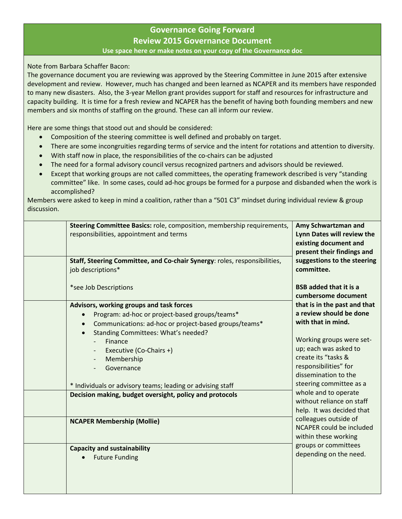## **Governance Going Forward**

**Review 2015 Governance Document**

## **Use space here or make notes on your copy of the Governance doc**

Note from Barbara Schaffer Bacon:

The governance document you are reviewing was approved by the Steering Committee in June 2015 after extensive development and review. However, much has changed and been learned as NCAPER and its members have responded to many new disasters. Also, the 3-year Mellon grant provides support for staff and resources for infrastructure and capacity building. It is time for a fresh review and NCAPER has the benefit of having both founding members and new members and six months of staffing on the ground. These can all inform our review.

Here are some things that stood out and should be considered:

- Composition of the steering committee is well defined and probably on target.
- There are some incongruities regarding terms of service and the intent for rotations and attention to diversity.
- With staff now in place, the responsibilities of the co-chairs can be adjusted
- The need for a formal advisory council versus recognized partners and advisors should be reviewed.
- Except that working groups are not called committees, the operating framework described is very "standing committee" like. In some cases, could ad-hoc groups be formed for a purpose and disbanded when the work is accomplished?

Members were asked to keep in mind a coalition, rather than a "501 C3" mindset during individual review & group discussion.

| Steering Committee Basics: role, composition, membership requirements,<br>responsibilities, appointment and terms                                   | Amy Schwartzman and<br>Lynn Dates will review the<br>existing document and<br>present their findings and                                                    |  |
|-----------------------------------------------------------------------------------------------------------------------------------------------------|-------------------------------------------------------------------------------------------------------------------------------------------------------------|--|
| Staff, Steering Committee, and Co-chair Synergy: roles, responsibilities,<br>job descriptions*                                                      | suggestions to the steering<br>committee.                                                                                                                   |  |
| *see Job Descriptions                                                                                                                               | <b>BSB added that it is a</b><br>cumbersome document                                                                                                        |  |
| Advisors, working groups and task forces<br>Program: ad-hoc or project-based groups/teams*<br>Communications: ad-hoc or project-based groups/teams* | that is in the past and that<br>a review should be done<br>with that in mind.                                                                               |  |
| Standing Committees: What's needed?<br>Finance<br>Executive (Co-Chairs +)<br>Membership<br>Governance                                               | Working groups were set-<br>up; each was asked to<br>create its "tasks &<br>responsibilities" for<br>dissemination to the                                   |  |
| * Individuals or advisory teams; leading or advising staff                                                                                          | steering committee as a                                                                                                                                     |  |
| Decision making, budget oversight, policy and protocols                                                                                             | whole and to operate<br>without reliance on staff<br>help. It was decided that<br>colleagues outside of<br>NCAPER could be included<br>within these working |  |
| <b>NCAPER Membership (Mollie)</b>                                                                                                                   |                                                                                                                                                             |  |
| <b>Capacity and sustainability</b><br><b>Future Funding</b>                                                                                         | groups or committees<br>depending on the need.                                                                                                              |  |
|                                                                                                                                                     |                                                                                                                                                             |  |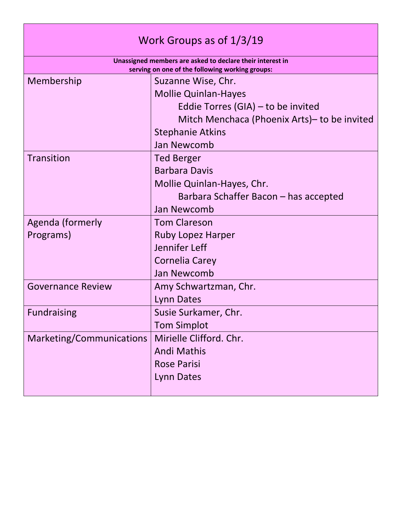| Work Groups as of 1/3/19                                                                                     |                                               |  |
|--------------------------------------------------------------------------------------------------------------|-----------------------------------------------|--|
| Unassigned members are asked to declare their interest in<br>serving on one of the following working groups: |                                               |  |
| Membership                                                                                                   | Suzanne Wise, Chr.                            |  |
|                                                                                                              | <b>Mollie Quinlan-Hayes</b>                   |  |
|                                                                                                              | Eddie Torres $(GIA)$ – to be invited          |  |
|                                                                                                              | Mitch Menchaca (Phoenix Arts) – to be invited |  |
|                                                                                                              | <b>Stephanie Atkins</b>                       |  |
|                                                                                                              | Jan Newcomb                                   |  |
| Transition                                                                                                   | Ted Berger                                    |  |
|                                                                                                              | <b>Barbara Davis</b>                          |  |
|                                                                                                              | Mollie Quinlan-Hayes, Chr.                    |  |
|                                                                                                              | Barbara Schaffer Bacon - has accepted         |  |
|                                                                                                              | Jan Newcomb                                   |  |
| Agenda (formerly                                                                                             | <b>Tom Clareson</b>                           |  |
| Programs)                                                                                                    | <b>Ruby Lopez Harper</b>                      |  |
|                                                                                                              | Jennifer Leff                                 |  |
|                                                                                                              | Cornelia Carey                                |  |
|                                                                                                              | Jan Newcomb                                   |  |
| <b>Governance Review</b>                                                                                     | Amy Schwartzman, Chr.                         |  |
|                                                                                                              | Lynn Dates                                    |  |
| <b>Fundraising</b>                                                                                           | Susie Surkamer, Chr.                          |  |
|                                                                                                              | <b>Tom Simplot</b>                            |  |
| Marketing/Communications                                                                                     | Mirielle Clifford. Chr.                       |  |
|                                                                                                              | <b>Andi Mathis</b>                            |  |
|                                                                                                              | <b>Rose Parisi</b>                            |  |
|                                                                                                              | Lynn Dates                                    |  |
|                                                                                                              |                                               |  |